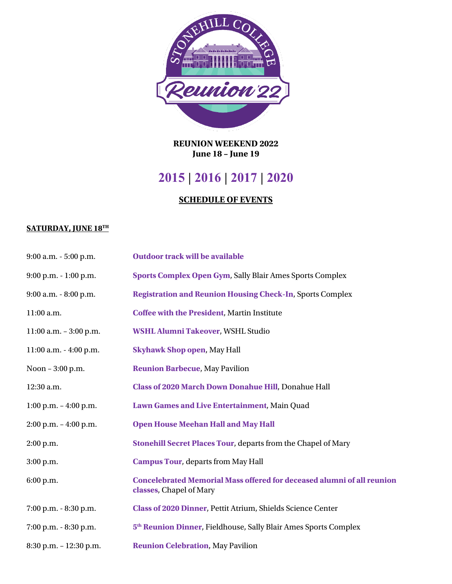

**REUNION WEEKEND 2022 June 18 – June 19**

## **2015 | 2016 | 2017 | 2020**

## **SCHEDULE OF EVENTS**

## **SATURDAY, JUNE 18TH**

| 9:00 a.m. - 5:00 p.m.     | <b>Outdoor track will be available</b>                                                                   |
|---------------------------|----------------------------------------------------------------------------------------------------------|
| 9:00 p.m. - 1:00 p.m.     | <b>Sports Complex Open Gym, Sally Blair Ames Sports Complex</b>                                          |
| 9:00 a.m. - 8:00 p.m.     | <b>Registration and Reunion Housing Check-In, Sports Complex</b>                                         |
| 11:00 a.m.                | <b>Coffee with the President, Martin Institute</b>                                                       |
| $11:00$ a.m. $-3:00$ p.m. | WSHL Alumni Takeover, WSHL Studio                                                                        |
| 11:00 a.m. - 4:00 p.m.    | <b>Skyhawk Shop open, May Hall</b>                                                                       |
| Noon - 3:00 p.m.          | <b>Reunion Barbecue, May Pavilion</b>                                                                    |
| 12:30 a.m.                | Class of 2020 March Down Donahue Hill, Donahue Hall                                                      |
| $1:00$ p.m. $-4:00$ p.m.  | Lawn Games and Live Entertainment, Main Quad                                                             |
| $2:00$ p.m. $-4:00$ p.m.  | <b>Open House Meehan Hall and May Hall</b>                                                               |
| $2:00$ p.m.               | Stonehill Secret Places Tour, departs from the Chapel of Mary                                            |
| 3:00 p.m.                 | <b>Campus Tour, departs from May Hall</b>                                                                |
| 6:00 p.m.                 | <b>Concelebrated Memorial Mass offered for deceased alumni of all reunion</b><br>classes, Chapel of Mary |
| 7:00 p.m. - 8:30 p.m.     | Class of 2020 Dinner, Pettit Atrium, Shields Science Center                                              |
| 7:00 p.m. - 8:30 p.m.     | 5 <sup>th</sup> Reunion Dinner, Fieldhouse, Sally Blair Ames Sports Complex                              |
| 8:30 p.m. - 12:30 p.m.    | <b>Reunion Celebration, May Pavilion</b>                                                                 |